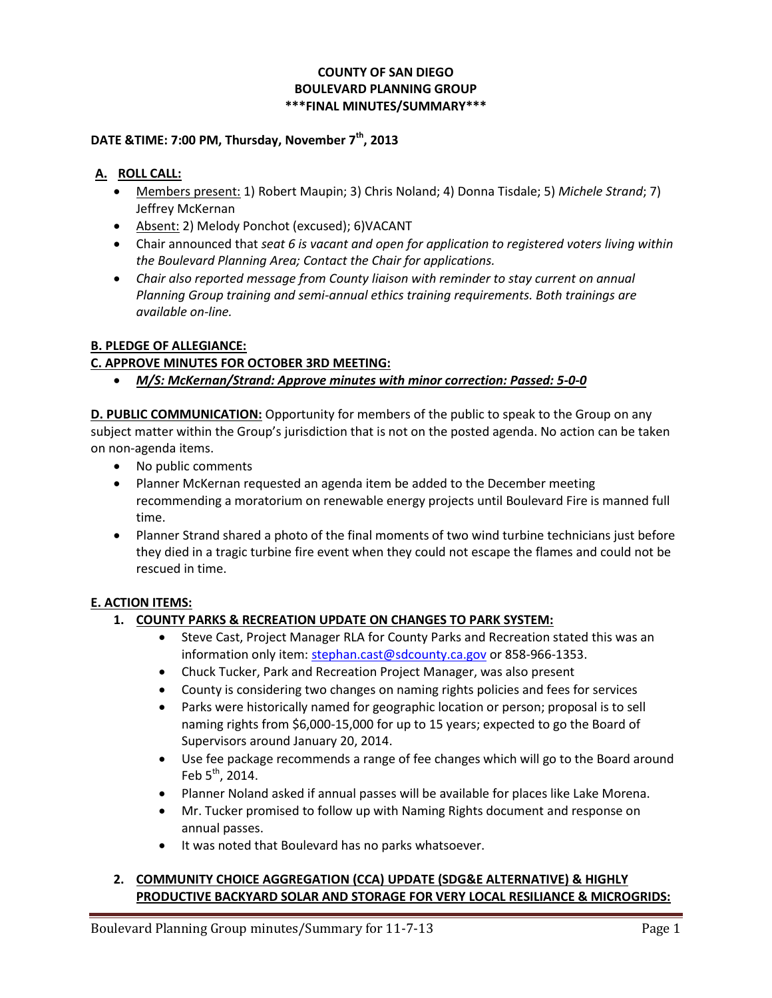#### **COUNTY OF SAN DIEGO BOULEVARD PLANNING GROUP \*\*\*FINAL MINUTES/SUMMARY\*\*\***

# **DATE &TIME: 7:00 PM, Thursday, November 7th, 2013**

#### **A. ROLL CALL:**

- Members present: 1) Robert Maupin; 3) Chris Noland; 4) Donna Tisdale; 5) *Michele Strand*; 7) Jeffrey McKernan
- Absent: 2) Melody Ponchot (excused); 6)VACANT
- Chair announced that *seat 6 is vacant and open for application to registered voters living within the Boulevard Planning Area; Contact the Chair for applications.*
- *Chair also reported message from County liaison with reminder to stay current on annual Planning Group training and semi-annual ethics training requirements. Both trainings are available on-line.*

#### **B. PLEDGE OF ALLEGIANCE:**

#### **C. APPROVE MINUTES FOR OCTOBER 3RD MEETING:**

*M/S: McKernan/Strand: Approve minutes with minor correction: Passed: 5-0-0*

**D. PUBLIC COMMUNICATION:** Opportunity for members of the public to speak to the Group on any subject matter within the Group's jurisdiction that is not on the posted agenda. No action can be taken on non-agenda items.

- No public comments
- Planner McKernan requested an agenda item be added to the December meeting recommending a moratorium on renewable energy projects until Boulevard Fire is manned full time.
- Planner Strand shared a photo of the final moments of two wind turbine technicians just before they died in a tragic turbine fire event when they could not escape the flames and could not be rescued in time.

#### **E. ACTION ITEMS:**

#### **1. COUNTY PARKS & RECREATION UPDATE ON CHANGES TO PARK SYSTEM:**

- Steve Cast, Project Manager RLA for County Parks and Recreation stated this was an information only item: stephan.cast@sdcounty.ca.gov or 858-966-1353.
- Chuck Tucker, Park and Recreation Project Manager, was also present
- County is considering two changes on naming rights policies and fees for services
- Parks were historically named for geographic location or person; proposal is to sell naming rights from \$6,000-15,000 for up to 15 years; expected to go the Board of Supervisors around January 20, 2014.
- Use fee package recommends a range of fee changes which will go to the Board around Feb  $5^{th}$ , 2014.
- Planner Noland asked if annual passes will be available for places like Lake Morena.
- Mr. Tucker promised to follow up with Naming Rights document and response on annual passes.
- It was noted that Boulevard has no parks whatsoever.

### **2. COMMUNITY CHOICE AGGREGATION (CCA) UPDATE (SDG&E ALTERNATIVE) & HIGHLY PRODUCTIVE BACKYARD SOLAR AND STORAGE FOR VERY LOCAL RESILIANCE & MICROGRIDS:**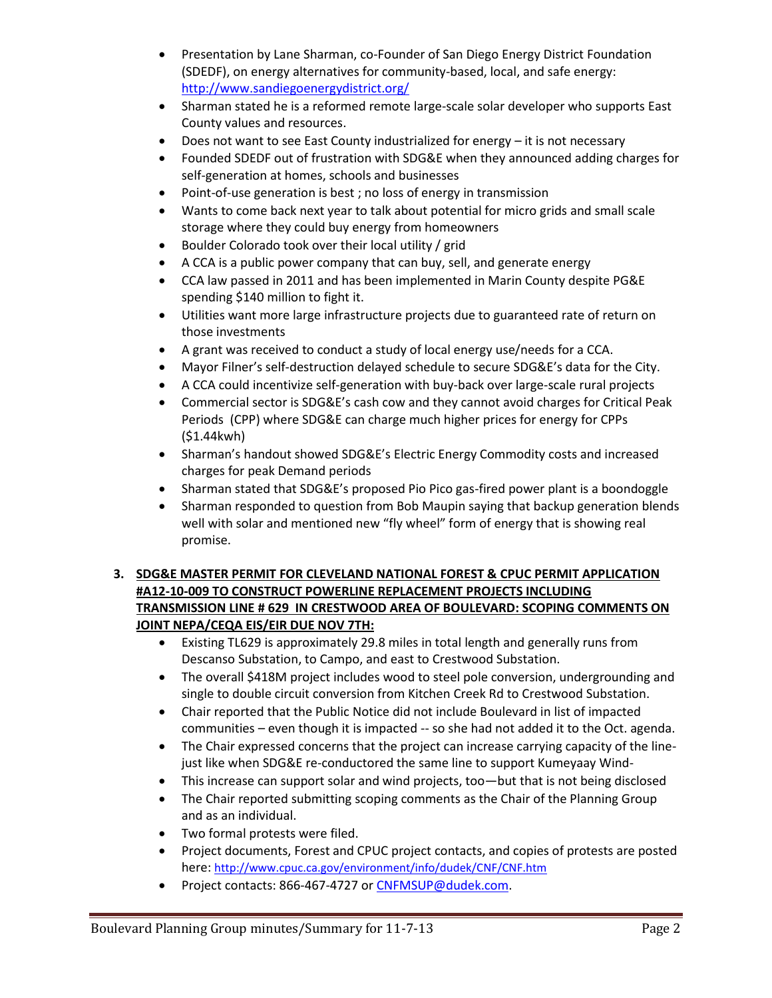- Presentation by Lane Sharman, co-Founder of San Diego Energy District Foundation (SDEDF), on energy alternatives for community-based, local, and safe energy: http://www.sandiegoenergydistrict.org/
- Sharman stated he is a reformed remote large-scale solar developer who supports East County values and resources.
- Does not want to see East County industrialized for energy it is not necessary
- Founded SDEDF out of frustration with SDG&E when they announced adding charges for self-generation at homes, schools and businesses
- Point-of-use generation is best; no loss of energy in transmission
- Wants to come back next year to talk about potential for micro grids and small scale storage where they could buy energy from homeowners
- Boulder Colorado took over their local utility / grid
- A CCA is a public power company that can buy, sell, and generate energy
- CCA law passed in 2011 and has been implemented in Marin County despite PG&E spending \$140 million to fight it.
- Utilities want more large infrastructure projects due to guaranteed rate of return on those investments
- A grant was received to conduct a study of local energy use/needs for a CCA.
- Mayor Filner's self-destruction delayed schedule to secure SDG&E's data for the City.
- A CCA could incentivize self-generation with buy-back over large-scale rural projects
- Commercial sector is SDG&E's cash cow and they cannot avoid charges for Critical Peak Periods (CPP) where SDG&E can charge much higher prices for energy for CPPs (\$1.44kwh)
- Sharman's handout showed SDG&E's Electric Energy Commodity costs and increased charges for peak Demand periods
- Sharman stated that SDG&E's proposed Pio Pico gas-fired power plant is a boondoggle
- Sharman responded to question from Bob Maupin saying that backup generation blends well with solar and mentioned new "fly wheel" form of energy that is showing real promise.

# **3. SDG&E MASTER PERMIT FOR CLEVELAND NATIONAL FOREST & CPUC PERMIT APPLICATION #A12-10-009 TO CONSTRUCT POWERLINE REPLACEMENT PROJECTS INCLUDING TRANSMISSION LINE # 629 IN CRESTWOOD AREA OF BOULEVARD: SCOPING COMMENTS ON JOINT NEPA/CEQA EIS/EIR DUE NOV 7TH:**

- Existing TL629 is approximately 29.8 miles in total length and generally runs from Descanso Substation, to Campo, and east to Crestwood Substation.
- The overall \$418M project includes wood to steel pole conversion, undergrounding and single to double circuit conversion from Kitchen Creek Rd to Crestwood Substation.
- Chair reported that the Public Notice did not include Boulevard in list of impacted communities – even though it is impacted -- so she had not added it to the Oct. agenda.
- The Chair expressed concerns that the project can increase carrying capacity of the linejust like when SDG&E re-conductored the same line to support Kumeyaay Wind-
- This increase can support solar and wind projects, too—but that is not being disclosed
- The Chair reported submitting scoping comments as the Chair of the Planning Group and as an individual.
- Two formal protests were filed.
- Project documents, Forest and CPUC project contacts, and copies of protests are posted here: http://www.cpuc.ca.gov/environment/info/dudek/CNF/CNF.htm
- Project contacts: 866-467-4727 or CNFMSUP@dudek.com.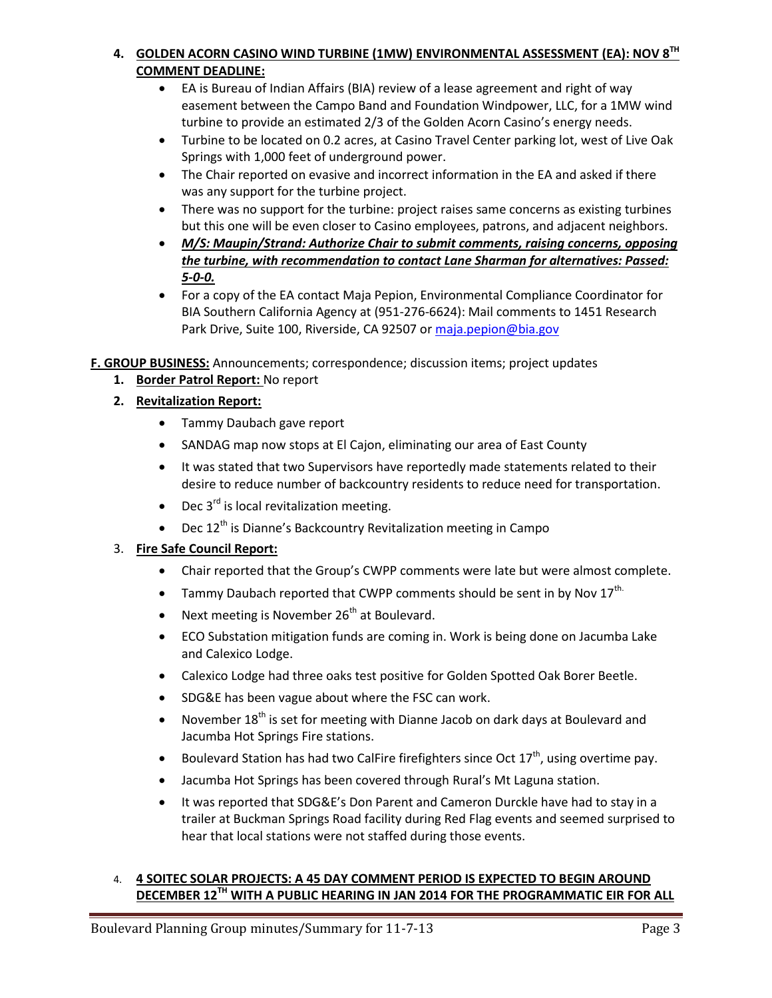# **4. GOLDEN ACORN CASINO WIND TURBINE (1MW) ENVIRONMENTAL ASSESSMENT (EA): NOV 8TH COMMENT DEADLINE:**

- EA is Bureau of Indian Affairs (BIA) review of a lease agreement and right of way easement between the Campo Band and Foundation Windpower, LLC, for a 1MW wind turbine to provide an estimated 2/3 of the Golden Acorn Casino's energy needs.
- Turbine to be located on 0.2 acres, at Casino Travel Center parking lot, west of Live Oak Springs with 1,000 feet of underground power.
- The Chair reported on evasive and incorrect information in the EA and asked if there was any support for the turbine project.
- There was no support for the turbine: project raises same concerns as existing turbines but this one will be even closer to Casino employees, patrons, and adjacent neighbors.
- *M/S: Maupin/Strand: Authorize Chair to submit comments, raising concerns, opposing the turbine, with recommendation to contact Lane Sharman for alternatives: Passed: 5-0-0.*
- For a copy of the EA contact Maja Pepion, Environmental Compliance Coordinator for BIA Southern California Agency at (951-276-6624): Mail comments to 1451 Research Park Drive, Suite 100, Riverside, CA 92507 or maja.pepion@bia.gov

**F. GROUP BUSINESS:** Announcements; correspondence; discussion items; project updates

- **1. Border Patrol Report:** No report
- **2. Revitalization Report:**
	- Tammy Daubach gave report
	- SANDAG map now stops at El Cajon, eliminating our area of East County
	- It was stated that two Supervisors have reportedly made statements related to their desire to reduce number of backcountry residents to reduce need for transportation.
	- $\bullet$  Dec 3<sup>rd</sup> is local revitalization meeting.
	- **•** Dec  $12^{th}$  is Dianne's Backcountry Revitalization meeting in Campo

### 3. **Fire Safe Council Report:**

- Chair reported that the Group's CWPP comments were late but were almost complete.
- **Tammy Daubach reported that CWPP comments should be sent in by Nov 17th.**
- Next meeting is November  $26<sup>th</sup>$  at Boulevard.
- ECO Substation mitigation funds are coming in. Work is being done on Jacumba Lake and Calexico Lodge.
- Calexico Lodge had three oaks test positive for Golden Spotted Oak Borer Beetle.
- SDG&E has been vague about where the FSC can work.
- November  $18<sup>th</sup>$  is set for meeting with Dianne Jacob on dark days at Boulevard and Jacumba Hot Springs Fire stations.
- Boulevard Station has had two CalFire firefighters since Oct  $17<sup>th</sup>$ , using overtime pay.
- Jacumba Hot Springs has been covered through Rural's Mt Laguna station.
- It was reported that SDG&E's Don Parent and Cameron Durckle have had to stay in a trailer at Buckman Springs Road facility during Red Flag events and seemed surprised to hear that local stations were not staffed during those events.

# 4. **4 SOITEC SOLAR PROJECTS: A 45 DAY COMMENT PERIOD IS EXPECTED TO BEGIN AROUND DECEMBER 12TH WITH A PUBLIC HEARING IN JAN 2014 FOR THE PROGRAMMATIC EIR FOR ALL**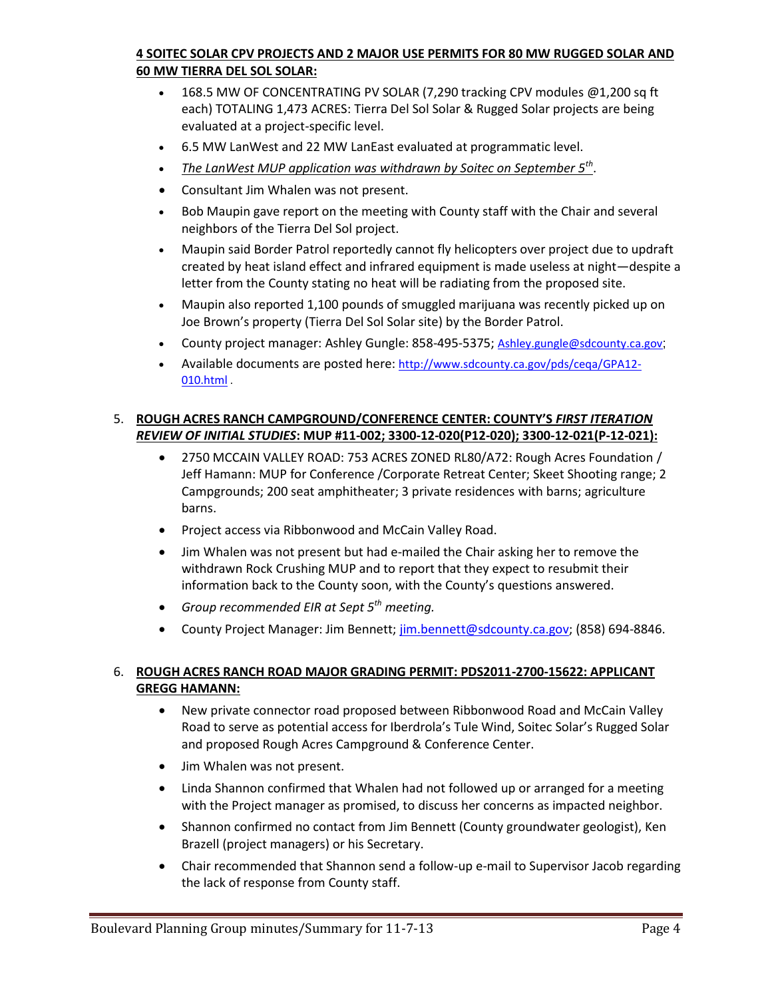# **4 SOITEC SOLAR CPV PROJECTS AND 2 MAJOR USE PERMITS FOR 80 MW RUGGED SOLAR AND 60 MW TIERRA DEL SOL SOLAR:**

- 168.5 MW OF CONCENTRATING PV SOLAR (7,290 tracking CPV modules @1,200 sq ft each) TOTALING 1,473 ACRES: Tierra Del Sol Solar & Rugged Solar projects are being evaluated at a project-specific level.
- 6.5 MW LanWest and 22 MW LanEast evaluated at programmatic level.
- *The LanWest MUP application was withdrawn by Soitec on September 5th* .
- Consultant Jim Whalen was not present.
- Bob Maupin gave report on the meeting with County staff with the Chair and several neighbors of the Tierra Del Sol project.
- Maupin said Border Patrol reportedly cannot fly helicopters over project due to updraft created by heat island effect and infrared equipment is made useless at night—despite a letter from the County stating no heat will be radiating from the proposed site.
- Maupin also reported 1,100 pounds of smuggled marijuana was recently picked up on Joe Brown's property (Tierra Del Sol Solar site) by the Border Patrol.
- County project manager: Ashley Gungle: 858-495-5375; Ashley.gungle@sdcounty.ca.gov;
- Available documents are posted here: http://www.sdcounty.ca.gov/pds/ceqa/GPA12-010.html .

### 5. **ROUGH ACRES RANCH CAMPGROUND/CONFERENCE CENTER: COUNTY'S** *FIRST ITERATION REVIEW OF INITIAL STUDIES***: MUP #11-002; 3300-12-020(P12-020); 3300-12-021(P-12-021):**

- 2750 MCCAIN VALLEY ROAD: 753 ACRES ZONED RL80/A72: Rough Acres Foundation / Jeff Hamann: MUP for Conference /Corporate Retreat Center; Skeet Shooting range; 2 Campgrounds; 200 seat amphitheater; 3 private residences with barns; agriculture barns.
- Project access via Ribbonwood and McCain Valley Road.
- Jim Whalen was not present but had e-mailed the Chair asking her to remove the withdrawn Rock Crushing MUP and to report that they expect to resubmit their information back to the County soon, with the County's questions answered.
- *Group recommended EIR at Sept 5th meeting.*
- County Project Manager: Jim Bennett; jim.bennett@sdcounty.ca.gov; (858) 694-8846.

### 6. **ROUGH ACRES RANCH ROAD MAJOR GRADING PERMIT: PDS2011-2700-15622: APPLICANT GREGG HAMANN:**

- New private connector road proposed between Ribbonwood Road and McCain Valley Road to serve as potential access for Iberdrola's Tule Wind, Soitec Solar's Rugged Solar and proposed Rough Acres Campground & Conference Center.
- Jim Whalen was not present.
- Linda Shannon confirmed that Whalen had not followed up or arranged for a meeting with the Project manager as promised, to discuss her concerns as impacted neighbor.
- Shannon confirmed no contact from Jim Bennett (County groundwater geologist), Ken Brazell (project managers) or his Secretary.
- Chair recommended that Shannon send a follow-up e-mail to Supervisor Jacob regarding the lack of response from County staff.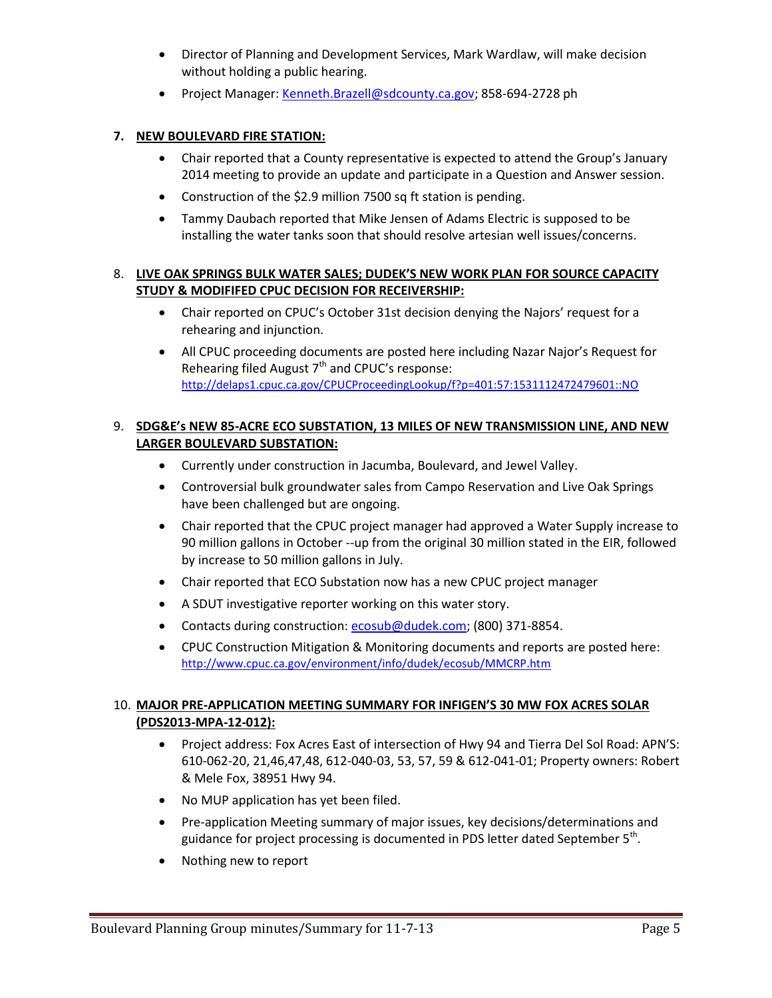- Director of Planning and Development Services, Mark Wardlaw, will make decision without holding a public hearing.
- Project Manager: Kenneth.Brazell@sdcounty.ca.gov; 858-694-2728 ph

# **7. NEW BOULEVARD FIRE STATION:**

- Chair reported that a County representative is expected to attend the Group's January 2014 meeting to provide an update and participate in a Question and Answer session.
- Construction of the \$2.9 million 7500 sq ft station is pending.
- Tammy Daubach reported that Mike Jensen of Adams Electric is supposed to be installing the water tanks soon that should resolve artesian well issues/concerns.

## 8. **LIVE OAK SPRINGS BULK WATER SALES; DUDEK'S NEW WORK PLAN FOR SOURCE CAPACITY STUDY & MODIFIFED CPUC DECISION FOR RECEIVERSHIP:**

- Chair reported on CPUC's October 31st decision denying the Najors' request for a rehearing and injunction.
- All CPUC proceeding documents are posted here including Nazar Najor's Request for Rehearing filed August  $7<sup>th</sup>$  and CPUC's response: http://delaps1.cpuc.ca.gov/CPUCProceedingLookup/f?p=401:57:1531112472479601::NO

## 9. **SDG&E's NEW 85-ACRE ECO SUBSTATION, 13 MILES OF NEW TRANSMISSION LINE, AND NEW LARGER BOULEVARD SUBSTATION:**

- Currently under construction in Jacumba, Boulevard, and Jewel Valley.
- Controversial bulk groundwater sales from Campo Reservation and Live Oak Springs have been challenged but are ongoing.
- Chair reported that the CPUC project manager had approved a Water Supply increase to 90 million gallons in October --up from the original 30 million stated in the EIR, followed by increase to 50 million gallons in July.
- Chair reported that ECO Substation now has a new CPUC project manager
- A SDUT investigative reporter working on this water story.
- Contacts during construction: ecosub@dudek.com; (800) 371-8854.
- CPUC Construction Mitigation & Monitoring documents and reports are posted here: http://www.cpuc.ca.gov/environment/info/dudek/ecosub/MMCRP.htm

# 10. **MAJOR PRE-APPLICATION MEETING SUMMARY FOR INFIGEN'S 30 MW FOX ACRES SOLAR (PDS2013-MPA-12-012):**

- Project address: Fox Acres East of intersection of Hwy 94 and Tierra Del Sol Road: APN'S: 610-062-20, 21,46,47,48, 612-040-03, 53, 57, 59 & 612-041-01; Property owners: Robert & Mele Fox, 38951 Hwy 94.
- No MUP application has yet been filed.
- Pre-application Meeting summary of major issues, key decisions/determinations and guidance for project processing is documented in PDS letter dated September 5<sup>th</sup>.
- Nothing new to report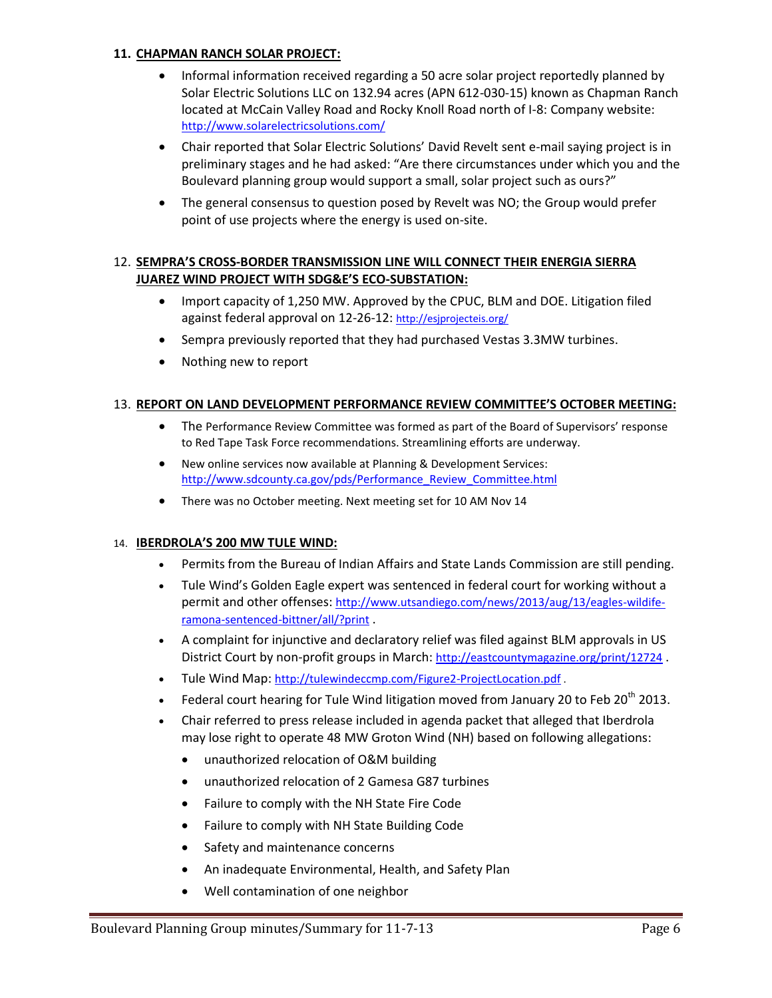#### **11. CHAPMAN RANCH SOLAR PROJECT:**

- Informal information received regarding a 50 acre solar project reportedly planned by Solar Electric Solutions LLC on 132.94 acres (APN 612-030-15) known as Chapman Ranch located at McCain Valley Road and Rocky Knoll Road north of I-8: Company website: http://www.solarelectricsolutions.com/
- Chair reported that Solar Electric Solutions' David Revelt sent e-mail saying project is in preliminary stages and he had asked: "Are there circumstances under which you and the Boulevard planning group would support a small, solar project such as ours?"
- The general consensus to question posed by Revelt was NO; the Group would prefer point of use projects where the energy is used on-site.

### 12. **SEMPRA'S CROSS-BORDER TRANSMISSION LINE WILL CONNECT THEIR ENERGIA SIERRA JUAREZ WIND PROJECT WITH SDG&E'S ECO-SUBSTATION:**

- Import capacity of 1,250 MW. Approved by the CPUC, BLM and DOE. Litigation filed against federal approval on 12-26-12: http://esjprojecteis.org/
- Sempra previously reported that they had purchased Vestas 3.3MW turbines.
- Nothing new to report

### 13. **REPORT ON LAND DEVELOPMENT PERFORMANCE REVIEW COMMITTEE'S OCTOBER MEETING:**

- The Performance Review Committee was formed as part of the Board of Supervisors' response to Red Tape Task Force recommendations. Streamlining efforts are underway.
- New online services now available at Planning & Development Services: http://www.sdcounty.ca.gov/pds/Performance\_Review\_Committee.html
- There was no October meeting. Next meeting set for 10 AM Nov 14

### 14. **IBERDROLA'S 200 MW TULE WIND:**

- Permits from the Bureau of Indian Affairs and State Lands Commission are still pending.
- Tule Wind's Golden Eagle expert was sentenced in federal court for working without a permit and other offenses: http://www.utsandiego.com/news/2013/aug/13/eagles-wildiferamona-sentenced-bittner/all/?print .
- A complaint for injunctive and declaratory relief was filed against BLM approvals in US District Court by non-profit groups in March: http://eastcountymagazine.org/print/12724.
- Tule Wind Map: http://tulewindeccmp.com/Figure2-ProjectLocation.pdf.
- Federal court hearing for Tule Wind litigation moved from January 20 to Feb  $20^{th}$  2013.
- Chair referred to press release included in agenda packet that alleged that Iberdrola may lose right to operate 48 MW Groton Wind (NH) based on following allegations:
	- unauthorized relocation of O&M building
	- unauthorized relocation of 2 Gamesa G87 turbines
	- Failure to comply with the NH State Fire Code
	- Failure to comply with NH State Building Code
	- Safety and maintenance concerns
	- An inadequate Environmental, Health, and Safety Plan
	- Well contamination of one neighbor